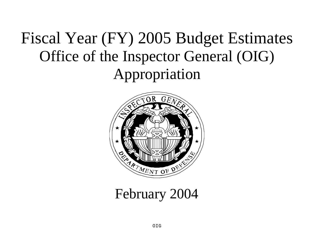# Fiscal Year (FY) 2005 Budget Estimates Office of the Inspector General (OIG) Appropriation



# February 2004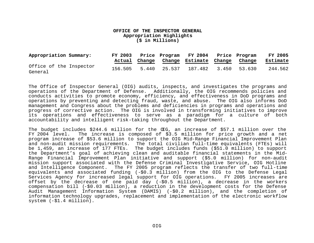#### **OFFICE OF THE INSPECTOR GENERAL Appropriation Highlights (\$ in Millions)**

| Appropriation Summary:             |  | FY 2003 Price Program FY 2004 Price Program<br>Actual Change Change Estimate Change Change |  | <b>FY 2005</b><br>Estimate |
|------------------------------------|--|--------------------------------------------------------------------------------------------|--|----------------------------|
| Office of the Inspector<br>General |  | 156.505 5.440 25.537 187.482 3.450 53.630                                                  |  | 244.562                    |

The Office of Inspector General (OIG) audits, inspects, and investigates the programs and operations of the Department of Defense. Additionally, the OIG recommends policies and conducts activities to promote economy, efficiency, and effectiveness in DoD programs and operations by preventing and detecting fraud, waste, and abuse. The OIG also informs DoD management and Congress about the problems and deficiencies in programs and operations and progress of corrective action. The OIG is involved in transforming initiatives to improve its operations and effectiveness to serve as a paradigm for a culture of both accountability and intelligent risk-taking throughout the Department.

The budget includes \$244.6 million for the OIG, an increase of \$57.1 million over the FY 2004 level. The increase is composed of \$3.5 million for price growth and a net program increase of \$53.6 million to support the OIG Mid-Range Financial Improvement Plan and non-audit mission requirements. The total civilian full-time equivalents (FTEs) will be 1,459, an increase of 177 FTEs. The budget includes funds (\$51.0 million) to support the Department's goal of achieving clean and auditable financial statements in the Mid-Range Financial Improvement Plan initiative and support (\$5.0 million) for non-audit mission support associated with the Defense Criminal Investigative Service, OIG Hotline and Intelligence Component. The FY 2005 program reflects the transfer of two full-time equivalents and associated funding (-\$0.3 million) from the OIG to the Defense Legal Services Agency for increased legal support for OIG operations. FY 2005 increases are offset by the decrease of one paid day (-\$0.5 million), a decrease in the workers compensation bill (-\$0.03 million), a reduction in the development costs for the Defense Audit Management Information System (DAMIS) (-\$0.2 million), and the completion of information technology upgrades, replacement and implementation of the electronic workflow system (-\$1.4 million).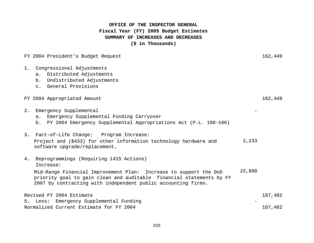# **OFFICE OF THE INSPECTOR GENERAL SUMMARY OF INCREASES AND DECREASES (\$ in Thousands) Fiscal Year (FY) 2005 Budget Estimates**

FY 2004 President's Budget Request 162,449

1. Congressional Adjustments a. Distributed Adjustments b. Undistributed Adjustments c. General Provisions FY 2004 Appropriated Amount 162,449 2. Emergency Supplemental a. Emergency Supplemental Funding Carryover b. FY 2004 Emergency Supplemental Appropriations Act (P.L. 108-106) 3. Fact-of-Life Change: Program Increase: 2,233 4. Reprogrammings (Requiring 1415 Actions) Increase: 22,800 Revised FY 2004 Estimate 187,482 5. Less: Emergency Supplemental Funding Normalized Current Estimate for FY 2004 187,482 Project and (\$433) for other information technology hardware and software upgrade/replacement. Mid-Range Financial Improvement Plan: Increase to support the DoD priority goal to gain clean and auditable financial statements by FY 2007 by contracting with independent public accounting firms.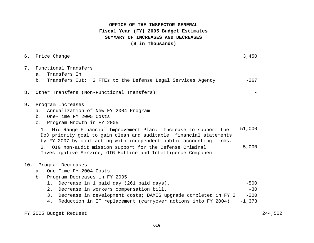# **OFFICE OF THE INSPECTOR GENERAL SUMMARY OF INCREASES AND DECREASES (\$ in Thousands) Fiscal Year (FY) 2005 Budget Estimates**

| б.  | Price Change                                                                                                                                                                                                                                                                                                                                                                                                                                                                      | 3,450                                 |
|-----|-----------------------------------------------------------------------------------------------------------------------------------------------------------------------------------------------------------------------------------------------------------------------------------------------------------------------------------------------------------------------------------------------------------------------------------------------------------------------------------|---------------------------------------|
| 7.  | Functional Transfers<br>Transfers In<br>a.<br>b. Transfers Out: 2 FTEs to the Defense Legal Services Agency                                                                                                                                                                                                                                                                                                                                                                       | $-267$                                |
| 8.  | Other Transfers (Non-Functional Transfers):                                                                                                                                                                                                                                                                                                                                                                                                                                       |                                       |
| 9.  | Program Increases<br>Annualization of New FY 2004 Program<br>a.<br>b. One-Time FY 2005 Costs<br>c. Program Growth in FY 2005<br>Mid-Range Financial Improvement Plan: Increase to support the<br>1.<br>DoD priority goal to gain clean and auditable financial statements<br>by FY 2007 by contracting with independent public accounting firms.<br>OIG non-audit mission support for the Defense Criminal<br>2.<br>Investigative Service, OIG Hotline and Intelligence Component | 51,000<br>5,000                       |
| 10. | Program Decreases<br>One-Time FY 2004 Costs<br>$a$ .<br>Program Decreases in FY 2005<br>b.<br>Decrease in 1 paid day (261 paid days).<br>$1$ .<br>Decrease in workers compensation bill.<br>2.<br>Decrease in development costs; DAMIS upgrade completed in FY 2<br>3.<br>Reduction in IT replacement (carryover actions into FY 2004)<br>4.                                                                                                                                      | $-500$<br>$-30$<br>$-200$<br>$-1,373$ |

FY 2005 Budget Request 244,562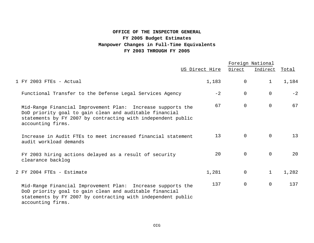# **OFFICE OF THE INSPECTOR GENERAL FY 2005 Budget Estimates Manpower Changes in Full-Time Equivalents FY 2003 THROUGH FY 2005**

|                                                                                                                                                                                                             |                 |                | Foreign National |       |
|-------------------------------------------------------------------------------------------------------------------------------------------------------------------------------------------------------------|-----------------|----------------|------------------|-------|
|                                                                                                                                                                                                             | US Direct Hire  | Direct         | Indirect Total   |       |
| 1 FY 2003 FTEs - Actual                                                                                                                                                                                     | 1,183           | $\mathbf 0$    | $\mathbf{1}$     | 1,184 |
| Functional Transfer to the Defense Legal Services Agency                                                                                                                                                    | $-2$            | $\mathbf 0$    | $\overline{0}$   | $-2$  |
| Mid-Range Financial Improvement Plan: Increase supports the<br>DoD priority goal to gain clean and auditable financial<br>statements by FY 2007 by contracting with independent public<br>accounting firms. | 67              | $\mathsf{O}$   | $\mathbf 0$      | 67    |
| Increase in Audit FTEs to meet increased financial statement<br>audit workload demands                                                                                                                      | 13 <sup>°</sup> | $\overline{0}$ | $\Omega$         | 13    |
| FY 2003 hiring actions delayed as a result of security<br>clearance backlog                                                                                                                                 | 20              | $\Omega$       | $\overline{0}$   | 20    |
| 2 FY 2004 FTEs - Estimate                                                                                                                                                                                   | 1,281           | 0              | $\mathbf{1}$     | 1,282 |
| Mid-Range Financial Improvement Plan: Increase supports the<br>DoD priority goal to gain clean and auditable financial<br>statements by FY 2007 by contracting with independent public<br>accounting firms. | 137             | $\mathbf 0$    | $\mathbf 0$      | 137   |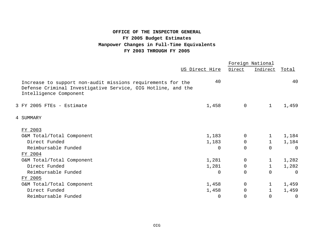# **OFFICE OF THE INSPECTOR GENERAL FY 2005 Budget Estimates Manpower Changes in Full-Time Equivalents FY 2003 THROUGH FY 2005**

|                                                                                                                                                       |                |              | Foreign National |          |  |
|-------------------------------------------------------------------------------------------------------------------------------------------------------|----------------|--------------|------------------|----------|--|
|                                                                                                                                                       | US Direct Hire | Direct       | Indirect         | Total    |  |
| Increase to support non-audit missions requirements for the<br>Defense Criminal Investigative Service, OIG Hotline, and the<br>Intelligence Component | 40             |              |                  | 40       |  |
| 3 FY 2005 FTEs - Estimate                                                                                                                             | 1,458          | $\mathsf{O}$ | $\mathbf{1}$     | 1,459    |  |
| 4 SUMMARY                                                                                                                                             |                |              |                  |          |  |
| FY 2003                                                                                                                                               |                |              |                  |          |  |
| O&M Total/Total Component                                                                                                                             | 1,183          | 0            | 1                | 1,184    |  |
| Direct Funded                                                                                                                                         | 1,183          | 0            | $\mathbf{1}$     | 1,184    |  |
| Reimbursable Funded                                                                                                                                   | $\Omega$       | $\Omega$     | $\Omega$         | $\Omega$ |  |
| FY 2004                                                                                                                                               |                |              |                  |          |  |
| O&M Total/Total Component                                                                                                                             | 1,281          | $\Omega$     | $\mathbf{1}$     | 1,282    |  |
| Direct Funded                                                                                                                                         | 1,281          | $\Omega$     | $\mathbf{1}$     | 1,282    |  |
| Reimbursable Funded                                                                                                                                   | $\Omega$       | $\Omega$     | $\Omega$         | $\Omega$ |  |
| FY 2005                                                                                                                                               |                |              |                  |          |  |
| O&M Total/Total Component                                                                                                                             | 1,458          | 0            | 1                | 1,459    |  |
| Direct Funded                                                                                                                                         | 1,458          | $\mathbf 0$  | 1                | 1,459    |  |
| Reimbursable Funded                                                                                                                                   | $\Omega$       | 0            | $\Omega$         | 0        |  |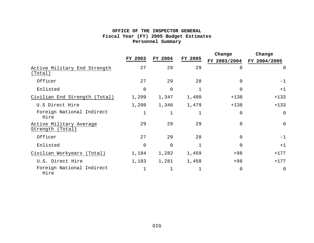## **OFFICE OF THE INSPECTOR GENERAL Fiscal Year (FY) 2005 Budget Estimates Personnel Summary**

|                                             |             |                |              | Change       | Change       |  |
|---------------------------------------------|-------------|----------------|--------------|--------------|--------------|--|
|                                             | FY 2003     | FY 2004        | FY 2005      | FY 2003/2004 | FY 2004/2005 |  |
| Active Military End Strength<br>(Total)     | 27          | 29             | 29           | $\Omega$     | 0            |  |
| Officer                                     | 27          | 29             | 28           | $\Omega$     | $-1$         |  |
| Enlisted                                    | $\mathbf 0$ | $\overline{0}$ | $\mathbf 1$  | $\Omega$     | $+1$         |  |
| Civilian End Strength (Total)               | 1,209       | 1,347          | 1,480        | $+138$       | $+133$       |  |
| U.S Direct Hire                             | 1,208       | 1,346          | 1,479        | $+138$       | $+133$       |  |
| Foreign National Indirect<br>Hire           | $\mathbf 1$ |                | 1            | $\Omega$     | $\mathbf 0$  |  |
| Active Military Average<br>Strength (Total) | 29          | 29             | 29           | $\Omega$     | $\mathbf 0$  |  |
| Officer                                     | 27          | 29             | 28           | $\Omega$     | $-1$         |  |
| Enlisted                                    | $\mathbf 0$ | $\overline{0}$ | $\mathbf{1}$ | $\Omega$     | $+1$         |  |
| Civilian Workyears (Total)                  | 1,184       | 1,282          | 1,459        | $+98$        | $+177$       |  |
| U.S. Direct Hire                            | 1,183       | 1,281          | 1,458        | $+98$        | $+177$       |  |
| Foreign National Indirect<br>Hire           | 1           |                | 1            | $\Omega$     | $\mathsf{O}$ |  |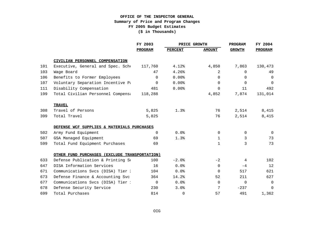|     |                                               | FY 2003  | PRICE GROWTH   |                | <b>PROGRAM</b> | FY 2004        |
|-----|-----------------------------------------------|----------|----------------|----------------|----------------|----------------|
|     |                                               | PROGRAM  | <b>PERCENT</b> | <b>AMOUNT</b>  | <b>GROWTH</b>  | <b>PROGRAM</b> |
|     | CIVILIAN PERSONNEL COMPENSATION               |          |                |                |                |                |
| 101 | Executive, General and Spec. Sche             | 117,760  | 4.12%          | 4,850          | 7,863          | 130,473        |
| 103 | Wage Board                                    | 47       | 4.26%          | $\overline{2}$ | $\Omega$       | 49             |
| 106 | Benefits to Former Employees                  | $\Omega$ | 0.00%          | $\Omega$       | $\Omega$       | $\Omega$       |
| 107 | Voluntary Separation Incentive Pa             | $\Omega$ | $0.00$ %       | $\Omega$       | $\Omega$       | $\Omega$       |
| 111 | Disability Compensation                       | 481      | $0.00$ %       | $\Omega$       | 11             | 492            |
| 199 | Total Civilian Personnel Compensa             | 118,288  |                | 4,852          | 7,874          | 131,014        |
|     | <b>TRAVEL</b>                                 |          |                |                |                |                |
| 308 | Travel of Persons                             | 5,825    | 1.3%           | 76             | 2,514          | 8,415          |
| 399 | Total Travel                                  | 5,825    |                | 76             | 2,514          | 8,415          |
|     | DEFENSE WCF SUPPLIES & MATERIALS PURCHASES    |          |                |                |                |                |
| 502 | Army Fund Equipment                           | $\Omega$ | 0.0%           | $\Omega$       | $\Omega$       | $\Omega$       |
| 507 | GSA Managed Equipment                         | 69       | 1.3%           | $\mathbf{1}$   | 3              | 73             |
| 599 | Total Fund Equipment Purchases                | 69       |                | $\mathbf{1}$   | 3              | 73             |
|     | OTHER FUND PURCHASES (EXCLUDE TRANSPORTATION) |          |                |                |                |                |
| 633 | Defense Publication & Printing Se             | 100      | $-2.0%$        | $-2$           | 4              | 102            |
| 647 | DISA Information Services                     | 16       | 0.0%           | $\Omega$       | $-4$           | 12             |
| 671 | Communications Svcs (DISA) Tier 2             | 104      | 0.0%           | $\Omega$       | 517            | 621            |
| 673 | Defense Finance & Accounting Svc              | 364      | 14.2%          | 52             | 211            | 627            |
| 677 | Communications Svcs (DISA) Tier 1             | $\Omega$ | 0.0%           | $\Omega$       | $\Omega$       | $\Omega$       |
| 678 | Defense Security Service                      | 230      | 3.0%           | 7              | $-237$         | $\Omega$       |
| 699 | Total Purchases                               | 814      | 0              | 57             | 491            | 1,362          |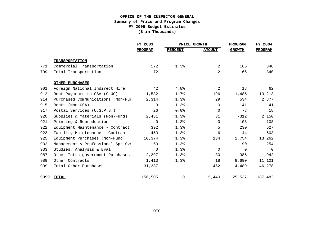|      |                                   | FY 2003        | PRICE GROWTH   |                | <b>PROGRAM</b> | FY 2004        |
|------|-----------------------------------|----------------|----------------|----------------|----------------|----------------|
|      |                                   | <b>PROGRAM</b> | <b>PERCENT</b> | <b>AMOUNT</b>  | <b>GROWTH</b>  | <b>PROGRAM</b> |
|      | <b>TRANSPORTATION</b>             |                |                |                |                |                |
| 771  | Commercial Transportation         | 172            | 1.3%           | $\overline{2}$ | 166            | 340            |
| 799  | Total Transportation              | 172            |                | $\overline{2}$ | 166            | 340            |
|      | OTHER PURCHASES                   |                |                |                |                |                |
| 901  | Foreign National Indirect Hire    | 42             | 4.8%           | 2              | 18             | 62             |
| 912  | Rent Payments to GSA (SLUC)       | 11,532         | 1.7%           | 196            | 1,485          | 13,213         |
| 914  | Purchased Communications (Non-Fur | 2,314          | 1.3%           | 29             | 534            | 2,877          |
| 915  | Rents (Non-GSA)                   | $\Omega$       | 1.3%           | $\Omega$       | 41             | 41             |
| 917  | Postal Services (U.S.P.S.)        | 26             | 0.0%           | $\Omega$       | -8             | 18             |
| 920  | Supplies & Materials (Non-Fund)   | 2,431          | 1.3%           | 31             | $-312$         | 2,150          |
| 921  | Printing & Reproduction           | 0              | 1.3%           | 0              | 108            | 108            |
| 922  | Equipment Maintenance - Contract  | 392            | 1.3%           | 5              | 230            | 627            |
| 923  | Facility Maintenance - Contract   | 453            | 1.3%           | 6              | 144            | 603            |
| 925  | Equipment Purchases (Non-Fund)    | 10,374         | 1.3%           | 134            | 2,754          | 13,262         |
| 932  | Management & Professional Spt Svo | 63             | 1.3%           | $\mathbf{1}$   | 190            | 254            |
| 933  | Studies, Analysis & Eval          | $\Omega$       | 1.3%           | $\Omega$       | $\Omega$       | 0              |
| 987  | Other Intra-government Purchases  | 2,297          | 1.3%           | 30             | $-385$         | 1,942          |
| 989  | Other Contracts                   | 1,413          | 1.3%           | 18             | 9,690          | 11,121         |
| 999  | Total Other Purchases             | 31,337         |                | 452            | 14,489         | 46,278         |
| 9999 | <b>TOTAL</b>                      | 156,505        | $\mathbf 0$    | 5,440          | 25,537         | 187,482        |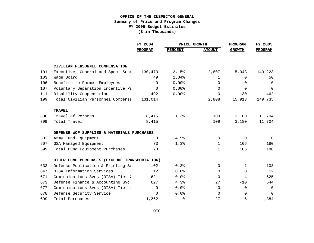|     |                                               | FY 2004  | PRICE GROWTH   |               | <b>PROGRAM</b> | FY 2005     |
|-----|-----------------------------------------------|----------|----------------|---------------|----------------|-------------|
|     |                                               | PROGRAM  | <b>PERCENT</b> | <b>AMOUNT</b> | <b>GROWTH</b>  | PROGRAM     |
|     | CIVILIAN PERSONNEL COMPENSATION               |          |                |               |                |             |
| 101 | Executive, General and Spec. Sche             | 130,473  | 2.15%          | 2,807         | 15,943         | 149,223     |
| 103 | Wage Board                                    | 49       | 2.04%          | $\mathbf{1}$  | $\Omega$       | 50          |
| 106 | Benefits to Former Employees                  | $\Omega$ | 0.00%          | $\Omega$      | $\Omega$       | 0           |
| 107 | Voluntary Separation Incentive Pa             | $\Omega$ | $0.00$ %       | $\Omega$      | $\Omega$       | $\mathbf 0$ |
| 111 | Disability Compensation                       | 492      | $0.00$ %       | $\Omega$      | $-30$          | 462         |
| 199 | Total Civilian Personnel Compensa             | 131,014  |                | 2,808         | 15,913         | 149,735     |
|     | <b>TRAVEL</b>                                 |          |                |               |                |             |
| 308 | Travel of Persons                             | 8,415    | 1.3%           | 109           | 3,180          | 11,704      |
| 399 | Total Travel                                  | 8,415    |                | 109           | 3,180          | 11,704      |
|     | DEFENSE WCF SUPPLIES & MATERIALS PURCHASES    |          |                |               |                |             |
| 502 | Army Fund Equipment                           | $\Omega$ | 4.5%           | $\Omega$      | $\Omega$       | $\Omega$    |
| 507 | GSA Managed Equipment                         | 73       | 1.3%           | $\mathbf{1}$  | 106            | 180         |
| 599 | Total Fund Equipment Purchases                | 73       |                | $\mathbf{1}$  | 106            | 180         |
|     | OTHER FUND PURCHASES (EXCLUDE TRANSPORTATION) |          |                |               |                |             |
| 633 | Defense Publication & Printing Se             | 102      | 0.3%           | 0             | $\mathbf{1}$   | 103         |
| 647 | DISA Information Services                     | 12       | 0.0%           | $\Omega$      | $\Omega$       | 12          |
| 671 | Communications Svcs (DISA) Tier 2             | 621      | 0.0%           | $\Omega$      | 4              | 625         |
| 673 | Defense Finance & Accounting Svc              | 627      | 4.3%           | 27            | $-10$          | 644         |
| 677 | Communications Svcs (DISA) Tier 1             | $\Omega$ | 0.0%           | $\Omega$      | $\Omega$       | $\mathbf 0$ |
| 678 | Defense Security Service                      | $\Omega$ | 0.0%           | $\Omega$      | $\Omega$       | $\Omega$    |
| 699 | Total Purchases                               | 1,362    | $\Omega$       | 27            | $-5$           | 1,384       |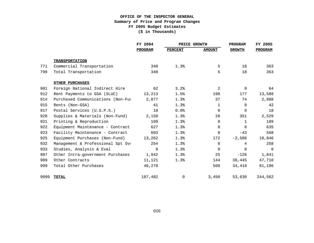|      |                                   | FY 2004        | PRICE GROWTH   |               | <b>PROGRAM</b> | FY 2005        |
|------|-----------------------------------|----------------|----------------|---------------|----------------|----------------|
|      |                                   | <b>PROGRAM</b> | <b>PERCENT</b> | <b>AMOUNT</b> | <b>GROWTH</b>  | <b>PROGRAM</b> |
|      | <b>TRANSPORTATION</b>             |                |                |               |                |                |
| 771  | Commercial Transportation         | 340            | 1.3%           | 5             | 18             | 363            |
| 799  | Total Transportation              | 340            |                | 5             | 18             | 363            |
|      | OTHER PURCHASES                   |                |                |               |                |                |
| 901  | Foreign National Indirect Hire    | 62             | 3.2%           | 2             | $\Omega$       | 64             |
| 912  | Rent Payments to GSA (SLUC)       | 13,213         | 1.5%           | 198           | 177            | 13,588         |
| 914  | Purchased Communications (Non-Fur | 2,877          | 1.3%           | 37            | 74             | 2,988          |
| 915  | Rents (Non-GSA)                   | 41             | 1.3%           | 1             | $\Omega$       | 42             |
| 917  | Postal Services (U.S.P.S.)        | 18             | 0.0%           | 0             | $\Omega$       | 18             |
| 920  | Supplies & Materials (Non-Fund)   | 2,150          | 1.3%           | 28            | 351            | 2,529          |
| 921  | Printing & Reproduction           | 108            | 1.3%           | 0             | 1              | 109            |
| 922  | Equipment Maintenance - Contract  | 627            | 1.3%           | 8             | $\Omega$       | 635            |
| 923  | Facility Maintenance - Contract   | 603            | 1.3%           | 8             | $-43$          | 568            |
| 925  | Equipment Purchases (Non-Fund)    | 13,262         | 1.3%           | 172           | $-2,588$       | 10,846         |
| 932  | Management & Professional Spt Svo | 254            | 1.3%           | 0             | 4              | 258            |
| 933  | Studies, Analysis & Eval          | $\Omega$       | 1.3%           | $\Omega$      | $\Omega$       | 0              |
| 987  | Other Intra-government Purchases  | 1,942          | 1.3%           | 25            | $-126$         | 1,841          |
| 989  | Other Contracts                   | 11,121         | 1.3%           | 144           | 36,445         | 47,710         |
| 999  | Total Other Purchases             | 46,278         |                | 500           | 34,418         | 81,196         |
| 9999 | <b>TOTAL</b>                      | 187,482        | 0              | 3,450         | 53,630         | 244,562        |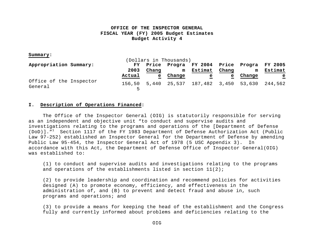#### **Summary:**

| (Dollars in Thousands)             |  |             |              |        |                                           |       |        |              |
|------------------------------------|--|-------------|--------------|--------|-------------------------------------------|-------|--------|--------------|
| Appropriation Summary:             |  | FY          |              |        | Price Progra FY 2004 Price Progra FY 2005 |       |        |              |
|                                    |  | 2003        | Chang        | m      | Estimat                                   | Chang | m      | Estimat      |
|                                    |  | Actual      | $\mathbf{e}$ | Change | e                                         | e     | Change | $\mathbf{e}$ |
| Office of the Inspector<br>General |  | 156.50<br>ᄃ |              |        | 5,440 25,537 187,482 3,450 53,630 244,562 |       |        |              |

#### **I. Description of Operations Financed:**

The Office of the Inspector General (OIG) is statutorily responsible for serving as an independent and objective unit "to conduct and supervise audits and investigations relating to the programs and operations of the [Department of Defense  $(DOD)$ ]."<sup>1</sup> Section 1117 of the FY 1983 Department of Defense Authorization Act (Public Law 97-252) established an Inspector General for the Department of Defense by amending Public Law 95-454, the Inspector General Act of 1978 (5 USC Appendix 3). In accordance with this Act, the Department of Defense Office of Inspector General(OIG) was established to:

(1) to conduct and supervise audits and investigations relating to the programs and operations of the establishments listed in section  $11(2)$ ;

(2) to provide leadership and coordination and recommend policies for activities designed (A) to promote economy, efficiency, and effectiveness in the administration of, and (B) to prevent and detect fraud and abuse in, such programs and operations; and

(3) to provide a means for keeping the head of the establishment and the Congress fully and currently informed about problems and deficiencies relating to the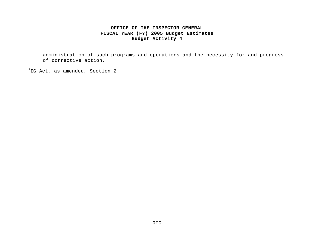administration of such programs and operations and the necessity for and progress of corrective action.

 ${}^{1}$ IG Act, as amended, Section 2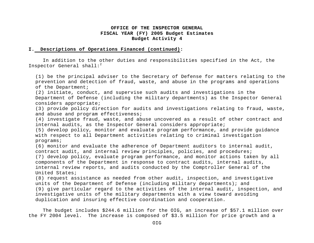#### **I. Descriptions of Operations Financed (continued):**

In addition to the other duties and responsibilities specified in the Act, the Inspector General shall: $2$ 

(1) be the principal adviser to the Secretary of Defense for matters relating to the prevention and detection of fraud, waste, and abuse in the programs and operations of the Department;

(2) initiate, conduct, and supervise such audits and investigations in the Department of Defense (including the military departments) as the Inspector General considers appropriate;

(3) provide policy direction for audits and investigations relating to fraud, waste, and abuse and program effectiveness;

(4) investigate fraud, waste, and abuse uncovered as a result of other contract and internal audits, as the Inspector General considers appropriate;

(5) develop policy, monitor and evaluate program performance, and provide guidance with respect to all Department activities relating to criminal investigation programs;

(6) monitor and evaluate the adherence of Department auditors to internal audit, contract audit, and internal review principles, policies, and procedures; (7) develop policy, evaluate program performance, and monitor actions taken by all

components of the Department in response to contract audits, internal audits, internal review reports, and audits conducted by the Comptroller General of the United States;

(8) request assistance as needed from other audit, inspection, and investigative units of the Department of Defense (including military departments); and (9) give particular regard to the activities of the internal audit, inspection, and investigative units of the military departments with a view toward avoiding duplication and insuring effective coordination and cooperation.

The budget includes \$244.6 million for the OIG, an increase of \$57.1 million over the FY 2004 level. The increase is composed of \$3.5 million for price growth and a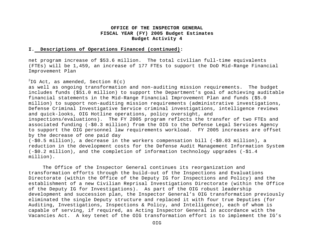#### **I. Descriptions of Operations Financed (continued):**

net program increase of \$53.6 million. The total civilian full-time equivalents (FTEs) will be 1,459, an increase of 177 FTEs to support the DoD Mid-Range Financial Improvement Plan

#### $2^{2}$ IG Act, as amended, Section 8(c)

as well as ongoing transformation and non-auditing mission requirements. The budget includes funds (\$51.0 million) to support the Department's goal of achieving auditable financial statements in the Mid-Range Financial Improvement Plan and funds (\$5.0 million) to support non-auditing mission requirements (administrative investigations, Defense Criminal Investigative Service criminal investigations, intelligence reviews and quick-looks, OIG Hotline operations, policy oversight, and inspections/evaluations). The FY 2005 program reflects the transfer of two FTEs and associated funding (-\$0.3 million) from the OIG to the Defense Legal Services Agency to support the OIG personnel law requirements workload. FY 2005 increases are offset by the decrease of one paid day (-\$0.5 million), a decrease in the workers compensation bill (-\$0.03 million), a reduction in the development costs for the Defense Audit Management Information System (-\$0.2 million), and the completion of information technology upgrades (-\$1.4 million).

The Office of the Inspector General continues its reorganization and transformation efforts through the build-out of the Inspections and Evaluations Directorate (within the Office of the Deputy IG for Inspections and Policy) and the establishment of a new Civilian Reprisal Investigations Directorate (within the Office of the Deputy IG for Investigations). As part of the OIG robust leadership development and succession plan, the Inspector General's OIG transformation previously eliminated the single Deputy structure and replaced it with four true Deputies (for Auditing, Investigations, Inspections & Policy, and Intelligence), each of whom is capable of serving, if required, as Acting Inspector General in accordance with the Vacancies Act. A key tenet of the OIG transformation effort is to implement the IG's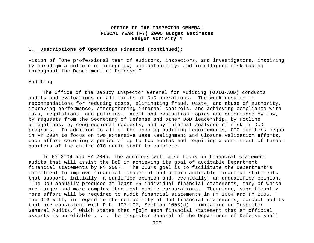#### **I. Descriptions of Operations Financed (continued):**

vision of "One professional team of auditors, inspectors, and investigators, inspiring by paradigm a culture of integrity, accountability, and intelligent risk-taking throughout the Department of Defense."

#### Auditing

The Office of the Deputy Inspector General for Auditing (ODIG-AUD) conducts audits and evaluations on all facets of DoD operations. The work results in recommendations for reducing costs, eliminating fraud, waste, and abuse of authority, improving performance, strengthening internal controls, and achieving compliance with laws, regulations, and policies. Audit and evaluation topics are determined by law, by requests from the Secretary of Defense and other DoD leadership, by Hotline allegations, by congressional requests, and by internal analyses of risk in DoD programs. In addition to all of the ongoing auditing requirements, OIG auditors began in FY 2004 to focus on two extensive Base Realignment and Closure validation efforts, each effort covering a period of up to two months and requiring a commitment of threequarters of the entire OIG audit staff to complete.

In FY 2004 and FY 2005, the auditors will also focus on financial statement audits that will assist the DoD in achieving its goal of auditable Department financial statements by FY 2007. The OIG's goal is to facilitate the Department's commitment to improve financial management and attain auditable financial statements that support, initially, a qualified opinion and, eventually, an unqualified opinion. The DoD annually produces at least 65 individual financial statements, many of which are larger and more complex than most public corporations. Therefore, significantly more effort will be required to audit financial statements in FY 2004 and FY 2005. The OIG will, in regard to the reliability of DoD financial statements, conduct audits that are consistent with P.L. 107-107, Section 1008(d) "Limitation on Inspector General Audits," which states that "[o]n each financial statement that an official asserts is unreliable . . . the Inspector General of the Department of Defense shall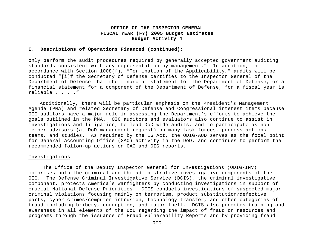#### **I. Descriptions of Operations Financed (continued):**

only perform the audit procedures required by generally accepted government auditing standards consistent with any representation by management." In addition, in accordance with Section 1008(f), "Termination of the Applicability," audits will be conducted "[i]f the Secretary of Defense certifies to the Inspector General of the Department of Defense that the financial statement for the Department of Defense, or a financial statement for a component of the Department of Defense, for a fiscal year is reliable . . . ."

Additionally, there will be particular emphasis on the President's Management Agenda (PMA) and related Secretary of Defense and Congressional interest items because OIG auditors have a major role in assessing the Department's efforts to achieve the goals outlined in the PMA. OIG auditors and evaluators also continue to assist in investigations and litigation, to lead DoD-wide audits, and to participate as nonmember advisors (at DoD management request) on many task forces, process actions teams, and studies. As required by the IG Act, the ODIG-AUD serves as the focal point for General Accounting Office (GAO) activity in the DoD, and continues to perform the recommended follow-up actions on GAO and OIG reports.

#### Investigations

The Office of the Deputy Inspector General for Investigations (ODIG-INV) comprises both the criminal and the administrative investigative components of the OIG. The Defense Criminal Investigative Service (DCIS), the criminal investigative component, protects America's warfighters by conducting investigations in support of crucial National Defense Priorities. DCIS conducts investigations of suspected major criminal violations focusing mainly on terrorism, product substitution/defective parts, cyber crimes/computer intrusion, technology transfer, and other categories of fraud including bribery, corruption, and major theft. DCIS also promotes training and awareness in all elements of the DoD regarding the impact of fraud on resources and programs through the issuance of Fraud Vulnerability Reports and by providing fraud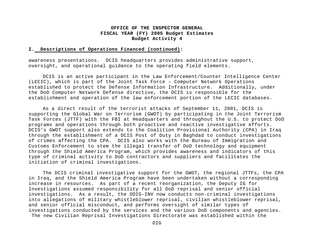#### **I. Descriptions of Operations Financed (continued):**

awareness presentations. DCIS headquarters provides administrative support, oversight, and operational guidance to the operating field elements.

DCIS is an active participant in the Law Enforcement/Counter Intelligence Center (LECIC), which is part of the Joint Task Force – Computer Network Operations established to protect the Defense Information Infrastructure. Additionally, under the DoD Computer Network Defense directive, the DCIS is responsible for the establishment and operation of the law enforcement portion of the LECIC databases.

As a direct result of the terrorist attacks of September 11, 2001, DCIS is supporting the Global War on Terrorism (GWOT) by participating in the Joint Terrorism Task Forces (JTTF) with the FBI at Headquarters and throughout the U.S. to protect DoD programs and operations through both proactive and reactive investigative efforts. DCIS's GWOT support also extends to the Coalition Provisional Authority (CPA) in Iraq through the establishment of a DCIS Post of Duty in Baghdad to conduct investigations of crimes affecting the CPA. DCIS also works with the Bureau of Immigration and Customs Enforcement to stem the illegal transfer of DoD technology and equipment through the Shield America Program, which provides awareness and indicators of this type of criminal activity to DoD contractors and suppliers and facilitates the initiation of criminal investigations.

The DCIS criminal investigative support for the GWOT, the regional JTTFs, the CPA in Iraq, and the Shield America Program have been undertaken without a corresponding increase in resources. As part of a recent reorganization, the Deputy IG for Investigations assumed responsibility for all DoD reprisal and senior official investigations. As a result, the ODIG-INV now conducts non-criminal investigations into allegations of military whistleblower reprisal, civilian whistleblower reprisal, and senior official misconduct, and performs oversight of similar types of investigations conducted by the services and the various DoD components and agencies. The new Civilian Reprisal Investigations Directorate was established within the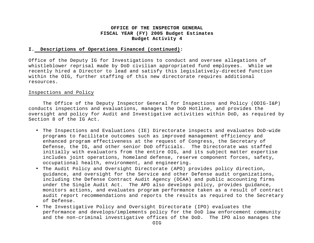#### **I. Descriptions of Operations Financed (continued):**

Office of the Deputy IG for Investigations to conduct and oversee allegations of whistleblower reprisal made by DoD civilian appropriated fund employees. While we recently hired a Director to lead and satisfy this legislatively-directed function within the OIG, further staffing of this new directorate requires additional resources.

#### Inspections and Policy

The Office of the Deputy Inspector General for Inspections and Policy (ODIG-I&P) conducts inspections and evaluations, manages the DoD Hotline, and provides the oversight and policy for Audit and Investigative activities within DoD, as required by Section 8 of the IG Act.

- The Inspections and Evaluations (IE) Directorate inspects and evaluates DoD-wide programs to facilitate outcomes such as improved management efficiency and enhanced program effectiveness at the request of Congress, the Secretary of Defense, the IG, and other senior DoD officials. The Directorate was staffed initially with evaluators from the entire OIG, and its subject matter expertise includes joint operations, homeland defense, reserve component forces, safety, occupational health, environment, and engineering.
- The Audit Policy and Oversight Directorate (APO) provides policy direction, guidance, and oversight for the Service and other Defense audit organizations, including the Defense Contract Audit Agency (DCAA) and public accounting firms under the Single Audit Act. The APO also develops policy, provides guidance, monitors actions, and evaluates program performance taken as a result of contract audit report recommendations and reports the results as required to the Secretary of Defense.
- The Investigative Policy and Oversight Directorate (IPO) evaluates the performance and develops/implements policy for the DoD law enforcement community and the non-criminal investigative offices of the DoD. The IPO also manages the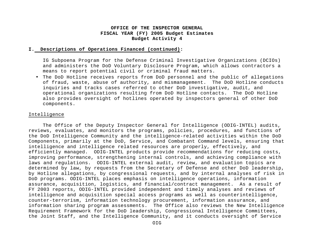#### **I. Descriptions of Operations Financed (continued):**

IG Subpoena Program for the Defense Criminal Investigative Organizations (DCIOs) and administers the DoD Voluntary Disclosure Program, which allows contractors a means to report potential civil or criminal fraud matters.

• The DoD Hotline receives reports from DoD personnel and the public of allegations of fraud, waste, abuse of authority, and mismanagement. The DoD Hotline conducts inquiries and tracks cases referred to other DoD investigative, audit, and operational organizations resulting from DoD Hotline contacts. The DoD Hotline also provides oversight of hotlines operated by inspectors general of other DoD components.

#### Intelligence

The Office of the Deputy Inspector General for Intelligence (ODIG-INTEL) audits, reviews, evaluates, and monitors the programs, policies, procedures, and functions of the DoD Intelligence Community and the intelligence-related activities within the DoD Components, primarily at the DoD, Service, and Combatant Command levels, ensuring that intelligence and intelligence related resources are properly, effectively, and efficiently managed. ODIG-INTEL products provide recommendations for reducing costs, improving performance, strengthening internal controls, and achieving compliance with laws and regulations. ODIG-INTEL external audit, review, and evaluation topics are determined by law, by requests from the Secretary of Defense and other DoD leadership, by Hotline allegations, by congressional requests, and by internal analyses of risk in DoD programs. ODIG-INTEL places emphasis on intelligence operations, information assurance, acquisition, logistics, and financial/contract management. As a result of FY 2003 reports, ODIG-INTEL provided independent and timely analyses and reviews of intelligence and acquisition special access programs as well as counterintelligence, counter-terrorism, information technology procurement, information assurance, and information sharing program assessments. The Office also reviews the New Intelligence Requirement Framework for the DoD leadership, Congressional Intelligence Committees, the Joint Staff, and the Intelligence Community, and it conducts oversight of Service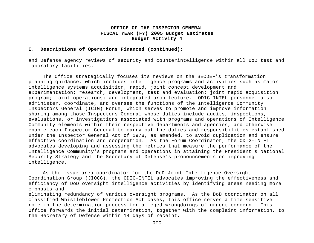#### **I. Descriptions of Operations Financed (continued):**

and Defense agency reviews of security and counterintelligence within all DoD test and laboratory facilities.

The Office strategically focuses its reviews on the SECDEF's transformation planning guidance, which includes intelligence programs and activities such as major intelligence systems acquisition; rapid, joint concept development and experimentation; research, development, test and evaluation; joint rapid acquisition program; joint operations; and integrated architecture. ODIG-INTEL personnel also administer, coordinate, and oversee the functions of the Intelligence Community Inspectors General (ICIG) Forum, which serves to promote and improve information sharing among those Inspectors General whose duties include audits, inspections, evaluations, or investigations associated with programs and operations of Intelligence Community elements within their respective departments and agencies, and otherwise enable each Inspector General to carry out the duties and responsibilities established under the Inspector General Act of 1978, as amended, to avoid duplication and ensure effective coordination and cooperation. As the Forum Coordinator, the ODIG-INTEL advocates developing and assessing the metrics that measure the performance of the Intelligence Community's programs and operations in attaining the President's National Security Strategy and the Secretary of Defense's pronouncements on improving intelligence.

As the issue area coordinator for the DoD Joint Intelligence Oversight Coordination Group (JIOCG), the ODIG-INTEL advocates improving the effectiveness and efficiency of DoD oversight intelligence activities by identifying areas needing more emphasis and

eliminating redundancy of various oversight programs. As the DoD coordinator on all classified Whistleblower Protection Act cases, this office serves a time-sensitive role in the determination process for alleged wrongdoings of urgent concern. This Office forwards the initial determination, together with the complaint information, to the Secretary of Defense within 14 days of receipt.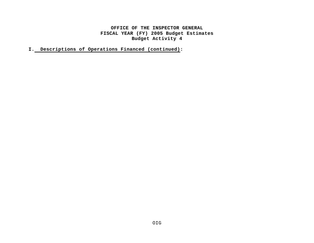**I. Descriptions of Operations Financed (continued):**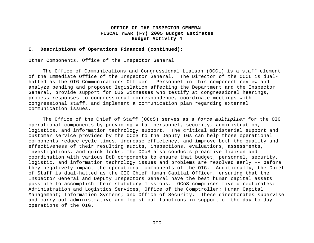#### **I. Descriptions of Operations Financed (continued):**

#### Other Components, Office of the Inspector General

The Office of Communications and Congressional Liaison (OCCL) is a staff element of the Immediate Office of the Inspector General. The Director of the OCCL is dualhatted as the OIG Communications Officer. Personnel in this component review and analyze pending and proposed legislation affecting the Department and the Inspector General, provide support for OIG witnesses who testify at congressional hearings, process responses to congressional correspondence, coordinate meetings with congressional staff, and implement a communication plan regarding external communication issues.

The Office of the Chief of Staff (OCoS) serves as a *force multiplier* for the OIG operational components by providing vital personnel, security, administration, logistics, and information technology support. The critical ministerial support and customer service provided by the OCoS to the Deputy IGs can help those operational components reduce cycle times, increase efficiency, and improve both the quality and effectiveness of their resulting audits, inspections, evaluations, assessments, investigations, and quick-looks. The OCoS also conducts proactive liaison and coordination with various DoD components to ensure that budget, personnel, security, logistic, and information technology issues and problems are resolved early –- before they negatively impact the operational components of the OIG. Additionally, the Chief of Staff is dual-hatted as the OIG Chief Human Capital Officer, ensuring that the Inspector General and Deputy Inspectors General have the best human capital assets possible to accomplish their statutory missions. OCoS comprises five directorates: Administration and Logistics Services; Office of the Comptroller; Human Capital Management; Information Systems; and Office of Security. These directorates supervise and carry out administrative and logistical functions in support of the day-to-day operations of the OIG.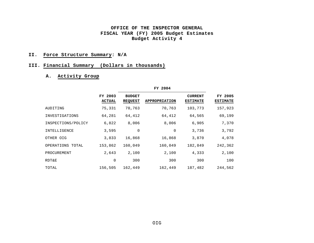#### **II. Force Structure Summary: N/A**

## **III. Financial Summary (Dollars in thousands)**

## **A. Activity Group**

|                    | FY 2003<br>ACTUAL | <b>BUDGET</b><br><b>REQUEST</b> | <b>APPROPRIATION</b> | <b>CURRENT</b><br><b>ESTIMATE</b> | FY 2005<br><b>ESTIMATE</b> |
|--------------------|-------------------|---------------------------------|----------------------|-----------------------------------|----------------------------|
| AUDITING           | 75,331            | 70,763                          | 70,763               | 103,773                           | 157,923                    |
| INVESTIGATIONS     | 64,281            | 64,412                          | 64,412               | 64,565                            | 69,199                     |
| INSPECTIONS/POLICY | 6,822             | 8,006                           | 8,006                | 6,905                             | 7,370                      |
| INTELLIGENCE       | 3,595             | $\mathbf 0$                     | $\mathbf 0$          | 3,736                             | 3,792                      |
| OTHER OIG          | 3,833             | 16,868                          | 16,868               | 3,870                             | 4,078                      |
| OPERATIONS TOTAL   | 153,862           | 160,049                         | 160,049              | 182,849                           | 242,362                    |
| PROCUREMENT        | 2,643             | 2,100                           | 2,100                | 4,333                             | 2,100                      |
| RDT&E              | $\mathbf 0$       | 300                             | 300                  | 300                               | 100                        |
| TOTAL              | 156,505           | 162,449                         | 162,449              | 187,482                           | 244,562                    |

**FY 2004**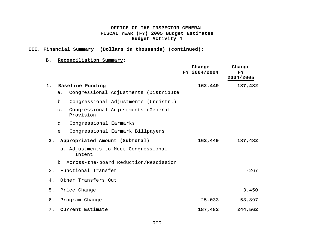## **III. Financial Summary (Dollars in thousands) (continued):**

## **B. Reconciliation Summary:**

|    |                                                                   | Change<br>FY 2004/2004 | Change<br>FY<br>2004/2005 |
|----|-------------------------------------------------------------------|------------------------|---------------------------|
| 1. | Baseline Funding                                                  | 162,449                | 187,482                   |
|    | Congressional Adjustments (Distributed<br>a.                      |                        |                           |
|    | Congressional Adjustments (Undistr.)<br>b.                        |                        |                           |
|    | Congressional Adjustments (General<br>$\mathsf{C}$ .<br>Provision |                        |                           |
|    | Congressional Earmarks<br>d.                                      |                        |                           |
|    | Congressional Earmark Billpayers<br>e.                            |                        |                           |
| 2. | Appropriated Amount (Subtotal)                                    | 162,449                | 187,482                   |
|    | a. Adjustments to Meet Congressional<br>Intent                    |                        |                           |
|    | b. Across-the-board Reduction/Rescission                          |                        |                           |
| 3. | Functional Transfer                                               |                        | $-267$                    |
| 4. | Other Transfers Out                                               |                        |                           |
| 5. | Price Change                                                      |                        | 3,450                     |
| б. | Program Change                                                    | 25,033                 | 53,897                    |
| 7. | Current Estimate                                                  | 187,482                | 244,562                   |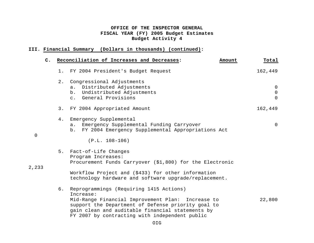## **III. Financial Summary (Dollars in thousands) (continued):**

| $\mathbf{C}$ . |       | Reconciliation of Increases and Decreases:<br>Amount                                                                                                                                                                                                                  | Total                                            |
|----------------|-------|-----------------------------------------------------------------------------------------------------------------------------------------------------------------------------------------------------------------------------------------------------------------------|--------------------------------------------------|
|                | $1$ . | FY 2004 President's Budget Request                                                                                                                                                                                                                                    | 162,449                                          |
|                | $2$ . | Congressional Adjustments<br>Distributed Adjustments<br>$a$ .<br>Undistributed Adjustments<br>b.<br>c. General Provisions                                                                                                                                             | $\overline{0}$<br>$\mathsf{O}$<br>$\overline{0}$ |
|                | 3.    | FY 2004 Appropriated Amount                                                                                                                                                                                                                                           | 162,449                                          |
| $\mathbf 0$    | 4.    | Emergency Supplemental<br>Emergency Supplemental Funding Carryover<br>$a$ .<br>FY 2004 Emergency Supplemental Appropriations Act<br>b.<br>$(P.L. 108-106)$                                                                                                            | $\overline{0}$                                   |
| 2,233          | 5.    | Fact-of-Life Changes<br>Program Increases:<br>Procurement Funds Carryover (\$1,800) for the Electronic<br>Workflow Project and (\$433) for other information                                                                                                          |                                                  |
|                |       | technology hardware and software upgrade/replacement.                                                                                                                                                                                                                 |                                                  |
|                | 6.    | Reprogrammings (Requiring 1415 Actions)<br>Increase:<br>Mid-Range Financial Improvement Plan: Increase to<br>support the Department of Defense priority goal to<br>gain clean and auditable financial statements by<br>FY 2007 by contracting with independent public | 22,800                                           |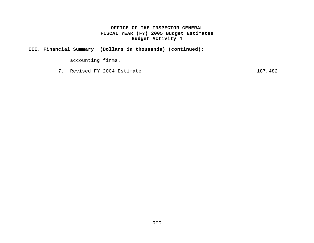## **III. Financial Summary (Dollars in thousands) (continued):**

accounting firms.

7. Revised FY 2004 Estimate 187,482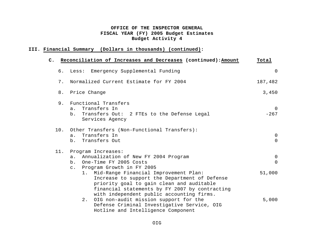## **III. Financial Summary (Dollars in thousands) (continued):**

|     | C. Reconciliation of Increases and Decreases (continued): Amount                                                                                                                                                                                                                                                              | Total                                      |
|-----|-------------------------------------------------------------------------------------------------------------------------------------------------------------------------------------------------------------------------------------------------------------------------------------------------------------------------------|--------------------------------------------|
|     | 6. Less: Emergency Supplemental Funding                                                                                                                                                                                                                                                                                       | $\overline{0}$                             |
| 7.  | Normalized Current Estimate for FY 2004                                                                                                                                                                                                                                                                                       | 187,482                                    |
|     | 8. Price Change                                                                                                                                                                                                                                                                                                               | 3,450                                      |
| 9.  | Functional Transfers<br>Transfers In<br>a.<br>Transfers Out: 2 FTEs to the Defense Legal<br>b.<br>Services Agency                                                                                                                                                                                                             | $\Omega$<br>$-267$                         |
| 10. | Other Transfers (Non-Functional Transfers):<br>Transfers In<br>a.<br>Transfers Out<br>b.                                                                                                                                                                                                                                      | $\mathsf{O}$<br>$\overline{0}$             |
| 11. | Program Increases:<br>Annualization of New FY 2004 Program<br>$a$ .<br>One-Time FY 2005 Costs<br>b.<br>Program Growth in FY 2005<br>$\mathsf{C}$ .<br>1. Mid-Range Financial Improvement Plan:                                                                                                                                | $\overline{0}$<br>$\overline{0}$<br>51,000 |
|     | Increase to support the Department of Defense<br>priority goal to gain clean and auditable<br>financial statements by FY 2007 by contracting<br>with independent public accounting firms.<br>2.<br>OIG non-audit mission support for the<br>Defense Criminal Investigative Service, OIG<br>Hotline and Intelligence Component | 5,000                                      |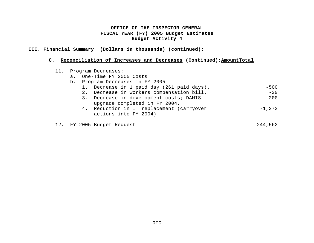## **III. Financial Summary (Dollars in thousands) (continued):**

## **C. Reconciliation of Increases and Decreases (Continued):AmountTotal**

|  |       | 11. Program Decreases:                                                   |           |
|--|-------|--------------------------------------------------------------------------|-----------|
|  | $a$ . | One-Time FY 2005 Costs                                                   |           |
|  |       | b. Program Decreases in FY 2005                                          |           |
|  |       | 1. Decrease in 1 paid day (261 paid days).                               | $-500$    |
|  |       | 2. Decrease in workers compensation bill.                                | $-30$     |
|  |       | 3. Decrease in development costs; DAMIS<br>upgrade completed in FY 2004. | $-200$    |
|  |       | 4. Reduction in IT replacement (carryover<br>actions into FY 2004)       | $-1, 373$ |
|  |       | 12. FY 2005 Budget Request                                               | 244,562   |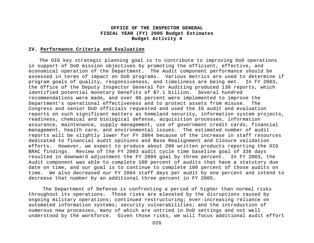#### **IV. Performance Criteria and Evaluation**

The OIG key strategic planning goal is to contribute to improving DoD operations in support of DoD mission objectives by promoting the efficient, effective, and economical operation of the Department. The Audit component performance should be assessed in terms of impact on DoD programs. Various metrics are used to determine if program goals of quality, responsiveness, and timeliness are being met. In FY 2003, the Office of the Deputy Inspector General for Auditing produced 130 reports, which identified potential monetary benefits of \$7.1 billion. Several hundred recommendations were made, and over 96 percent were implemented to improve the Department's operational effectiveness and to protect assets from misuse. The Congress and senior DoD officials requested and used the IG audit and evaluation reports on such significant matters as homeland security, information system projects, readiness, chemical and biological defense, acquisition processes, information assurance, maintenance, supply management, use of government credit cards, financial management, health care, and environmental issues. The estimated number of audit reports will be slightly lower for FY 2004 because of the increase in staff resources dedicated to financial audit opinions and Base Realignment and Closure validation efforts. However, we expect to produce about 200 written products reporting the OIG BRAC findings. Review of the FY 2003 audit cycle time baseline goal of 336 days resulted in downward adjustment the FY 2004 goal by three percent. In FY 2003, the Audit component was able to complete 100 percent of audits that have a statutory due date on time, and our goal is to continue to complete 100 percent of those audits on time. We also decreased our FY 2004 staff days per audit by one percent and intend to decrease that number by an additional three percent in FY 2005.

The Department of Defense is confronting a period of higher than normal risks throughout its operations. Those risks are elevated by the disruptions caused by ongoing military operations; continued restructuring; ever-increasing reliance on automated information systems; security vulnerabilities; and the introduction of numerous new processes, many of which are untried in DoD settings and not well understood by the workforce. Given those risks, we will focus additional audit effort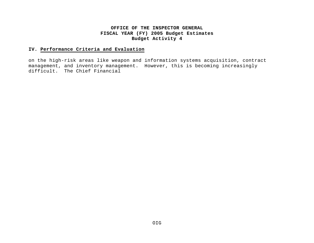## **IV. Performance Criteria and Evaluation**

on the high-risk areas like weapon and information systems acquisition, contract management, and inventory management. However, this is becoming increasingly difficult. The Chief Financial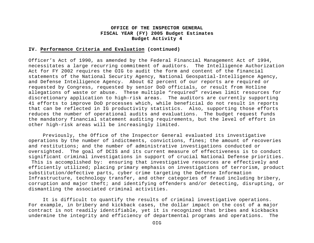#### **IV. Performance Criteria and Evaluation (continued)**

Officer's Act of 1990, as amended by the Federal Financial Management Act of 1994, necessitates a large recurring commitment of auditors. The Intelligence Authorization Act for FY 2002 requires the OIG to audit the form and content of the financial statements of the National Security Agency, National Geospatial-Intelligence Agency, and Defense Intelligence Agency. About 62 percent of our reports are required or requested by Congress, requested by senior DoD officials, or result from Hotline allegations of waste or abuse. These multiple "required" reviews limit resources for discretionary application to high-risk areas. The auditors are currently supporting 41 efforts to improve DoD processes which, while beneficial do not result in reports that can be reflected in IG productivity statistics. Also, supporting those efforts reduces the number of operational audits and evaluations. The budget request funds the mandatory financial statement auditing requirements, but the level of effort in other high-risk areas will be increasingly limited.

Previously, the Office of the Inspector General evaluated its investigative operations by the number of indictments, convictions, fines; the amount of recoveries and restitutions; and the number of administrative investigations conducted or oversighted. The goal of DCIS and its current measure of effectiveness is to conduct significant criminal investigations in support of crucial National Defense priorities. This is accomplished by: ensuring that investigative resources are effectively and efficiently utilized; placing primary emphasis on investigations of terrorism, product substitution/defective parts, cyber crime targeting the Defense Information Infrastructure, technology transfer, and other categories of fraud including bribery, corruption and major theft; and identifying offenders and/or detecting, disrupting, or dismantling the associated criminal activities.

It is difficult to quantify the results of criminal investigative operations. For example, in bribery and kickback cases, the dollar impact on the cost of a major contract is not readily identifiable, yet it is recognized that bribes and kickbacks undermine the integrity and efficiency of departmental programs and operations. The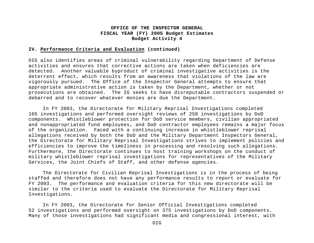#### **IV. Performance Criteria and Evaluation (continued)**

OIG also identifies areas of criminal vulnerability regarding Department of Defense activities and ensures that corrective actions are taken when deficiencies are detected. Another valuable byproduct of criminal investigative activities is the deterrent effect, which results from an awareness that violations of the law are vigorously pursued. The Office of the Inspector General attempts to ensure that appropriate administrative action is taken by the Department, whether or not prosecutions are obtained. The IG seeks to have disreputable contractors suspended or debarred and to recover whatever monies are due the Department.

In FY 2003, the Directorate for Military Reprisal Investigations completed 165 investigations and performed oversight reviews of 258 investigations by DoD components. Whistleblower protection for DoD service members, civilian appropriated and nonappropriated fund employees, and DoD contractor employees remains a major focus of the organization. Faced with a continuing increase in whistleblower reprisal allegations received by both the DoD and the Military Department Inspectors General, the Directorate for Military Reprisal Investigations strives to implement policies and efficiencies to improve the timeliness in processing and resolving such allegations. Furthermore, the Directorate continues to host training workshops on the conduct of military whistleblower reprisal investigations for representatives of the Military Services, the Joint Chiefs of Staff, and other defense agencies.

The Directorate for Civilian Reprisal Investigations is in the process of being staffed and therefore does not have any performance results to report or evaluate for FY 2003. The performance and evaluation criteria for this new directorate will be similar to the criteria used to evaluate the Directorate for Military Reprisal Investigations.

In FY 2003, the Directorate for Senior Official Investigations completed 52 investigations and performed oversight on 375 investigations by DoD components. Many of those investigations had significant media and congressional interest, with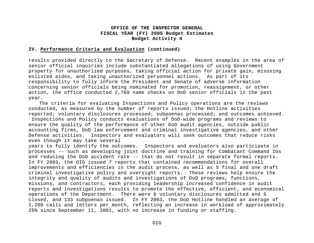#### **IV. Performance Criteria and Evaluation (continued)**

results provided directly to the Secretary of Defense. Recent examples in the area of senior official inquiries include substantiated allegations of using Government property for unauthorized purposes, taking official action for private gain, misusing enlisted aides, and taking unauthorized personnel actions. As part of its responsibility to fully inform the President and Senate of adverse information concerning senior officials being nominated for promotion, reassignment, or other action, the office conducted 2,769 name checks on DoD senior officials in the past year.

The criteria for evaluating Inspections and Policy operations are the reviews conducted, as measured by the number of reports issued; the Hotline activities reported; voluntary disclosures processed; subpoenas processed; and outcomes achieved.

 Inspections and Policy conducts evaluations of DoD-wide programs and reviews to ensure the quality of the performance of other DoD audit agencies, outside public accounting firms, DoD law enforcement and criminal investigative agencies, and other Defense activities. Inspectors and evaluators will seek outcomes that reduce risks even though it may take several

years to fully identify the outcomes. Inspectors and evaluators also participate in processes –- such as developing joint doctrine and training for Combatant Command IGs and reducing the DoD accident rate -- that do not result in separate formal reports. In FY 2003, the OIG issued 7 reports that contained recommendations for overall improvements and efficiencies in the audit process, as well as 5 final and one draft criminal investigative policy and oversight reports. These reviews help ensure the integrity and quality of audits and investigations of DoD programs, functions, missions, and contractors, each providing leadership increased confidence in audit reports and investigations results to promote the effective, efficient, and economical operations of the Department. There were 6 voluntary disclosures admitted and 5 closed, and 133 subpoenas issued. In FY 2003, the DoD Hotline handled an average of 1,200 calls and letters per month, reflecting an increase in workload of approximately 25% since September 11, 2001, with no increase in funding or staffing.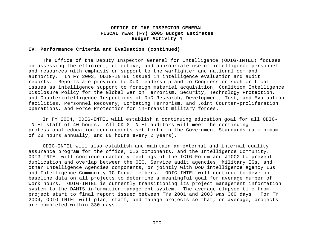#### **IV. Performance Criteria and Evaluation (continued)**

The Office of the Deputy Inspector General for Intelligence (ODIG-INTEL) focuses on assessing the efficient, effective, and appropriate use of intelligence personnel and resources with emphasis on support to the warfighter and national command authority. In FY 2003, ODIG-INTEL issued 14 intelligence evaluation and audit reports. Reports are provided to DoD leadership and to Congress on such critical issues as intelligence support to foreign materiel acquisition, Coalition Intelligence Disclosure Policy for the Global War on Terrorism, Security, Technology Protection, and Counterintelligence Inspections of DoD Research, Development, Test, and Evaluation facilities, Personnel Recovery, Combating Terrorism, and Joint Counter-proliferation Operations, and Force Protection for in-transit military forces.

In FY 2004, ODIG-INTEL will establish a continuing education goal for all ODIG-INTEL staff of 40 hours. All ODIG-INTEL auditors will meet the continuing professional education requirements set forth in the Government Standards (a minimum of 20 hours annually, and 80 hours every 2 years).

ODIG-INTEL will also establish and maintain an external and internal quality assurance program for the office, OIG components, and the Intelligence Community. ODIG-INTEL will continue quarterly meetings of the ICIG Forum and JIOCG to prevent duplication and overlap between the OIG, Service audit agencies, Military IGs, and other Intelligence Agencies components, or jointly with DoD intelligence agency IGs and Intelligence Community IG Forum members. ODIG-INTEL will continue to develop baseline data on all projects to determine a meaningful goal for average number of work hours. ODIG-INTEL is currently transitioning its project management information system to the DAMIS information management system. The average elapsed time from project start to final report issued between FYs 2001 and 2003 was 360 days. For FY 2004, ODIG-INTEL will plan, staff, and manage projects so that, on average, projects are completed within 330 days.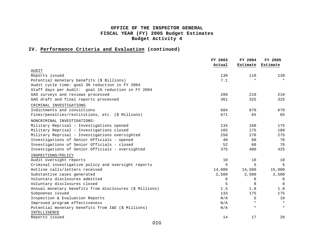## **IV. Performance Criteria and Evaluation (continued)**

|                                                         | FY 2003 | FY 2004  | FY 2005  |
|---------------------------------------------------------|---------|----------|----------|
|                                                         | Actual  | Estimate | Estimate |
| AUDIT                                                   |         |          |          |
| Reports issued                                          | 130     | 110      | 130      |
| Potential monetary benefits (\$ Billions)               | 7.1     | $\star$  | $\star$  |
| Audit cycle time: goal 3% reduction in FY 2004          |         |          |          |
| Staff days per Audit: goal 1% reduction in FY 2004      |         |          |          |
| GAO surveys and reviews processed                       | 200     | 210      | 210      |
| GAO draft and final reports processed                   | 361     | 325      | 325      |
| CRIMINAL INVESTIGATIONS                                 |         |          |          |
| Indictments and convictions                             | 684     | 670      | 670      |
| Fines/penalties/restitutions, etc. (\$ Millions)        | 671     | 65       | 65       |
| NONCRIMINAL INVESTIGATIONS:                             |         |          |          |
| Military Reprisal - Investigations opened               | 134     | 160      | 175      |
| Military Reprisal - Investigations closed               | 165     | 175      | 180      |
| Military Reprisal - Investigations oversighted          | 258     | 270      | 275      |
| Investigations of Senior Officials - opened             | 40      | 60       | 70       |
| Investigations of Senior Officials - closed             | 52      | 60       | 70       |
| Investigations of Senior Officials - oversighted        | 375     | 400      | 425      |
| INSPECTIONS/POLICY                                      |         |          |          |
| Audit oversight reports                                 | 10      | 10       | 10       |
| Criminal investigative policy and oversight reports     | 5       | 5        | 5        |
| Hotline calls/letters received                          | 14,000  | 14,500   | 15,000   |
| Substantive cases generated                             | 2,500   | 2,500    | 2,500    |
| Voluntary disclosures admitted                          | 6       | 6        | 6        |
| Voluntary disclosures closed                            | 5       | 8        | 8        |
| Annual monetary benefits from disclosures (\$ Millions) | 1.5     | 1.0      | $1.0$    |
| Subpoenas issued                                        | 133     | 175      | 175      |
| Inspection & Evaluation Reports                         | N/A     | 5        | 10       |
| Improved program effectiveness                          | N/A     | $\star$  | $\star$  |
| Potential monetary benefits from I&E (\$ Millions)      | N/A     | $\star$  | $\star$  |
| INTELLIGENCE                                            |         |          |          |
| Reports issued                                          | 14      | 17       | 20       |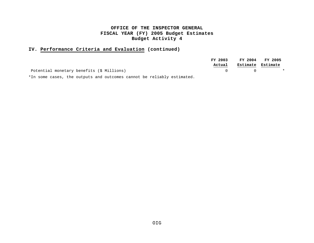## **IV. Performance Criteria and Evaluation (continued)**

|                                           | FY 2003 |                       | FY 2004 FY 2005  |
|-------------------------------------------|---------|-----------------------|------------------|
|                                           | Actual  | Estimate Estimate     |                  |
| Potential monetary benefits (\$ Millions) |         | $\Omega$ and $\Omega$ | $\mathbf{\star}$ |

\*In some cases, the outputs and outcomes cannot be reliably estimated.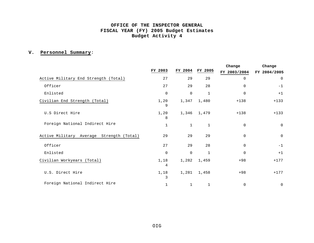# **V. Personnel Summary**:

|                                          |              |              |              | Change       | Change       |  |
|------------------------------------------|--------------|--------------|--------------|--------------|--------------|--|
|                                          | FY 2003      | FY 2004      | FY 2005      | FY 2003/2004 | FY 2004/2005 |  |
| Active Military End Strength (Total)     | 27           | 29           | 29           | $\Omega$     | 0            |  |
| Officer                                  | 27           | 29           | 28           | $\Omega$     | $-1$         |  |
| Enlisted                                 | 0            | $\mathbf 0$  | $\mathbf 1$  | $\mathbf 0$  | $+1$         |  |
| Civilian End Strength (Total)            | 1,20<br>9    | 1,347        | 1,480        | $+138$       | $+133$       |  |
| U.S Direct Hire                          | 1,20<br>8    | 1,346        | 1,479        | $+138$       | $+133$       |  |
| Foreign National Indirect Hire           | $\mathbf{1}$ | $\mathbf{1}$ | $\mathbf{1}$ | $\Omega$     | $\mathbf 0$  |  |
| Active Military Average Strength (Total) | 29           | 29           | 29           | $\mathbf 0$  | $\mathbf 0$  |  |
| Officer                                  | 27           | 29           | 28           | $\mathbf 0$  | $-1$         |  |
| Enlisted                                 | 0            | $\mathbf 0$  | 1            | $\Omega$     | $+1$         |  |
| Civilian Workyears (Total)               | 1,18<br>4    | 1,282        | 1,459        | $+98$        | $+177$       |  |
| U.S. Direct Hire                         | 1,18<br>3    | 1,281        | 1,458        | $+98$        | $+177$       |  |
| Foreign National Indirect Hire           | 1            | 1            | 1            | $\mathbf 0$  | 0            |  |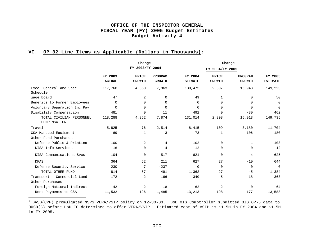# **VI. OP 32 Line Items as Applicable (Dollars in Thousands):**

i

|                                           |                          | Change                        |                          |                            | Change                 |                          |                            |
|-------------------------------------------|--------------------------|-------------------------------|--------------------------|----------------------------|------------------------|--------------------------|----------------------------|
|                                           |                          | FY 2003/FY 2004               |                          |                            | FY 2004/FY 2005        |                          |                            |
|                                           | FY 2003<br><b>ACTUAL</b> | <b>PRICE</b><br><b>GROWTH</b> | PROGRAM<br><b>GROWTH</b> | FY 2004<br><b>ESTIMATE</b> | PRICE<br><b>GROWTH</b> | PROGRAM<br><b>GROWTH</b> | FY 2005<br><b>ESTIMATE</b> |
| Exec, General and Spec<br>Schedule        | 117,760                  | 4,850                         | 7,863                    | 130,473                    | 2,807                  | 15,943                   | 149,223                    |
| Wage Board                                | 47                       | 2                             | 0                        | 49                         | $\mathbf{1}$           | $\Omega$                 | 50                         |
| Benefits to Former Employees              | $\Omega$                 | $\Omega$                      | 0                        | 0                          | $\Omega$               | $\Omega$                 | 0                          |
| Voluntary Separation Inc Pay <sup>1</sup> | $\Omega$                 | $\Omega$                      | $\mathbf 0$              | $\Omega$                   | $\Omega$               | $\Omega$                 | $\Omega$                   |
| Disability Compensation                   | 481                      | $\Omega$                      | 11                       | 492                        | $\Omega$               | $-30$                    | 462                        |
| TOTAL CIVILIAN PERSONNEL<br>COMPENSATION  | 118,288                  | 4,852                         | 7,874                    | 131,014                    | 2,808                  | 15,913                   | 149,735                    |
| Travel                                    | 5,825                    | 76                            | 2,514                    | 8,415                      | 109                    | 3,180                    | 11,704                     |
| GSA Managed Equipment                     | 69                       | 1                             | 3                        | 73                         | 1                      | 106                      | 180                        |
| Other Fund Purchases                      |                          |                               |                          |                            |                        |                          |                            |
| Defense Public & Printing                 | 100                      | $-2$                          | 4                        | 102                        | $\Omega$               | 1                        | 103                        |
| DISA Info Services                        | 16                       | 0                             | $-4$                     | 12                         | 0                      | 0                        | 12                         |
| DISA Communications Svcs                  | 104                      | 0                             | 517                      | 621                        | $\Omega$               | 4                        | 625                        |
| <b>DFAS</b>                               | 364                      | 52                            | 211                      | 627                        | 27                     | $-10$                    | 644                        |
| Defense Security Service                  | 230                      | 7                             | $-237$                   | $\Omega$                   | $\Omega$               | $\Omega$                 | $\overline{0}$             |
| TOTAL OTHER FUND                          | 814                      | 57                            | 491                      | 1,362                      | 27                     | $-5$                     | 1,384                      |
| Transport - Commercial Land               | 172                      | 2                             | 166                      | 340                        | 5                      | 18                       | 363                        |
| Other Purchases                           |                          |                               |                          |                            |                        |                          |                            |
| Foreign National Indirect                 | 42                       | 2                             | 18                       | 62                         | 2                      | 0                        | 64                         |
| Rent Payments to GSA                      | 11,532                   | 196                           | 1,485                    | 13,213                     | 198                    | 177                      | 13,588                     |

 $^1$  DASD(CPP) promulgated NSPS VERA/VSIP policy on 12-30-03. DoD OIG Comptroller submitted OIG OP-5 data to OUSD(C) before DoD IG determined to offer VERA/VSIP. Estimated cost of VSIP is \$1.5M in FY 2004 and \$1.5M in FY 2005.